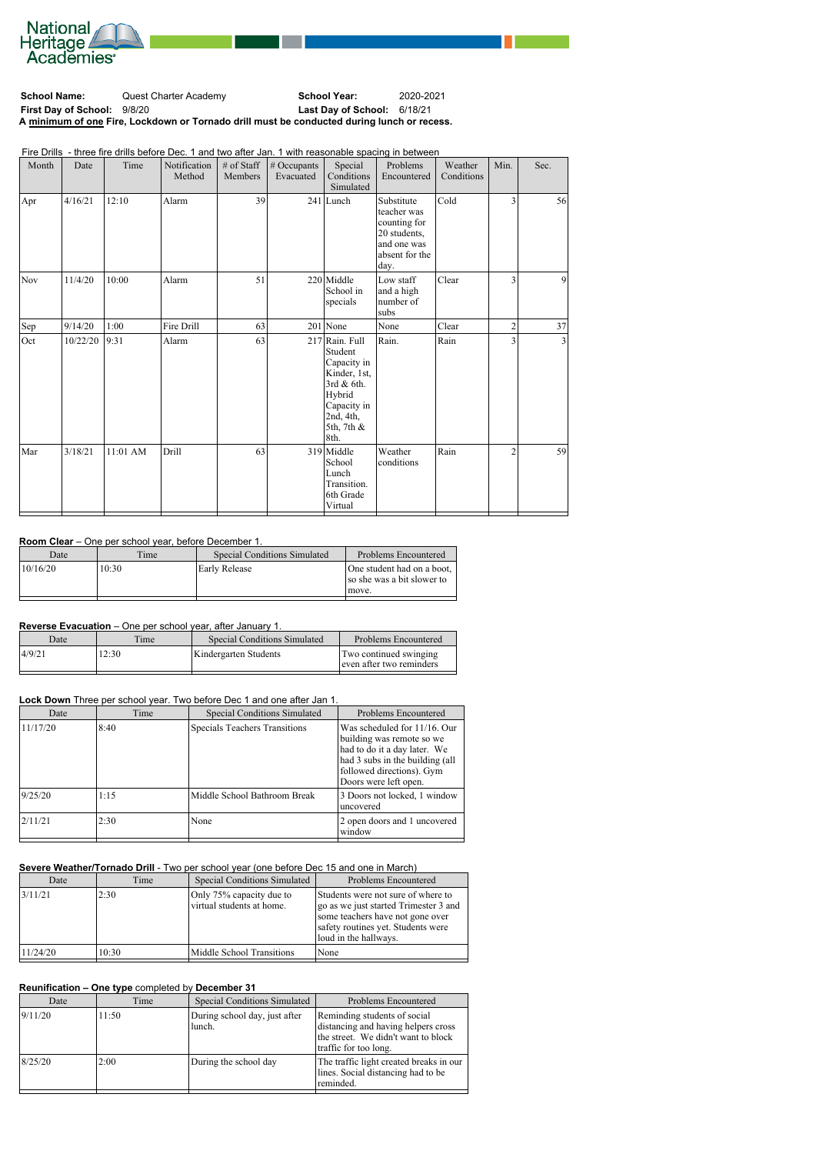

**School Name:** Quest Charter Academy **School Year:** 2020-2021 **First Day of School:** 9/8/20 **Last Day of School:** 6/18/21 **A minimum of one Fire, Lockdown or Tornado drill must be conducted during lunch or recess.**

Fire Drills - three fire drills before Dec. 1 and two after Jan. 1 with reasonable spacing in between

| Month      | Date     | Time       | Notification<br>Method | # of Staff<br>Members | # Occupants<br>Evacuated | Special<br>Conditions<br>Simulated                                                                                                 | Problems<br>Encountered                                                                            | Weather<br>Conditions | Min.           | Sec.           |
|------------|----------|------------|------------------------|-----------------------|--------------------------|------------------------------------------------------------------------------------------------------------------------------------|----------------------------------------------------------------------------------------------------|-----------------------|----------------|----------------|
| Apr        | 4/16/21  | 12:10      | Alarm                  | 39                    |                          | $241$ Lunch                                                                                                                        | Substitute<br>teacher was<br>counting for<br>20 students,<br>and one was<br>absent for the<br>day. | Cold                  | 3              | 56             |
| <b>Nov</b> | 11/4/20  | 10:00      | Alarm                  | 51                    |                          | 220 Middle<br>School in<br>specials                                                                                                | Low staff<br>and a high<br>number of<br>subs                                                       | Clear                 | 3              | $\overline{9}$ |
| Sep        | 9/14/20  | 1:00       | Fire Drill             | 63                    |                          | $201$ None                                                                                                                         | None                                                                                               | Clear                 | $\overline{c}$ | 37             |
| Oct        | 10/22/20 | 9:31       | Alarm                  | 63                    |                          | 217 Rain. Full<br>Student<br>Capacity in<br>Kinder, 1st,<br>3rd & 6th.<br>Hybrid<br>Capacity in<br>2nd, 4th,<br>5th, 7th &<br>8th. | Rain.                                                                                              | Rain                  | 3              | 3              |
| Mar        | 3/18/21  | $11:01$ AM | Drill                  | 63                    |                          | 319 Middle<br>School<br>Lunch<br>Transition.<br>6th Grade<br>Virtual                                                               | Weather<br>conditions                                                                              | Rain                  | $\overline{c}$ | 59             |

# **Room Clear** – One per school year, before December 1.

| Date     | Time  | <b>Special Conditions Simulated</b> | Problems Encountered                                              |
|----------|-------|-------------------------------------|-------------------------------------------------------------------|
| 10/16/20 | 10:30 | Early Release                       | One student had on a boot,<br>so she was a bit slower to<br>move. |

## **Reverse Evacuation** – One per school year, after January 1.

| Date   | Time  | <b>Special Conditions Simulated</b> | Problems Encountered                               |
|--------|-------|-------------------------------------|----------------------------------------------------|
| 4/9/21 | 12:30 | Kindergarten Students               | Two continued swinging<br>even after two reminders |

#### **Lock Down** Three per school year. Two before Dec 1 and one after Jan 1.

| Date     | Time | <b>Special Conditions Simulated</b>  | <b>Problems Encountered</b>                                                                                                                                                           |
|----------|------|--------------------------------------|---------------------------------------------------------------------------------------------------------------------------------------------------------------------------------------|
| 11/17/20 | 8:40 | <b>Specials Teachers Transitions</b> | Was scheduled for $11/16$ . Our<br>building was remote so we<br>had to do it a day later. We<br>had 3 subs in the building (all<br>followed directions). Gym<br>Doors were left open. |
| 9/25/20  | 1:15 | Middle School Bathroom Break         | 3 Doors not locked, 1 window<br>uncovered                                                                                                                                             |
| 2/11/21  | 2:30 | None                                 | 2 open doors and 1 uncovered<br>window                                                                                                                                                |

#### **Severe Weather/Tornado Drill** - Two per school year (one before Dec 15 and one in March)

| Date     | Time  | <b>Special Conditions Simulated</b>                   | Problems Encountered                                                                                                                                                           |
|----------|-------|-------------------------------------------------------|--------------------------------------------------------------------------------------------------------------------------------------------------------------------------------|
| 3/11/21  | 2:30  | Only 75% capacity due to<br>virtual students at home. | Students were not sure of where to<br>go as we just started Trimester 3 and<br>some teachers have not gone over<br>safety routines yet. Students were<br>loud in the hallways. |
| 11/24/20 | 10:30 | Middle School Transitions                             | None                                                                                                                                                                           |
|          |       |                                                       |                                                                                                                                                                                |

### **Reunification – One type** completed by **December 31**

| Date    | Time  | <b>Special Conditions Simulated</b>     | Problems Encountered                                                                                                                |
|---------|-------|-----------------------------------------|-------------------------------------------------------------------------------------------------------------------------------------|
| 9/11/20 | 11:50 | During school day, just after<br>lunch. | Reminding students of social<br>distancing and having helpers cross<br>the street. We didn't want to block<br>traffic for too long. |
| 8/25/20 | 2:00  | During the school day                   | The traffic light created breaks in our<br>lines. Social distancing had to be<br>reminded.                                          |
|         |       |                                         |                                                                                                                                     |